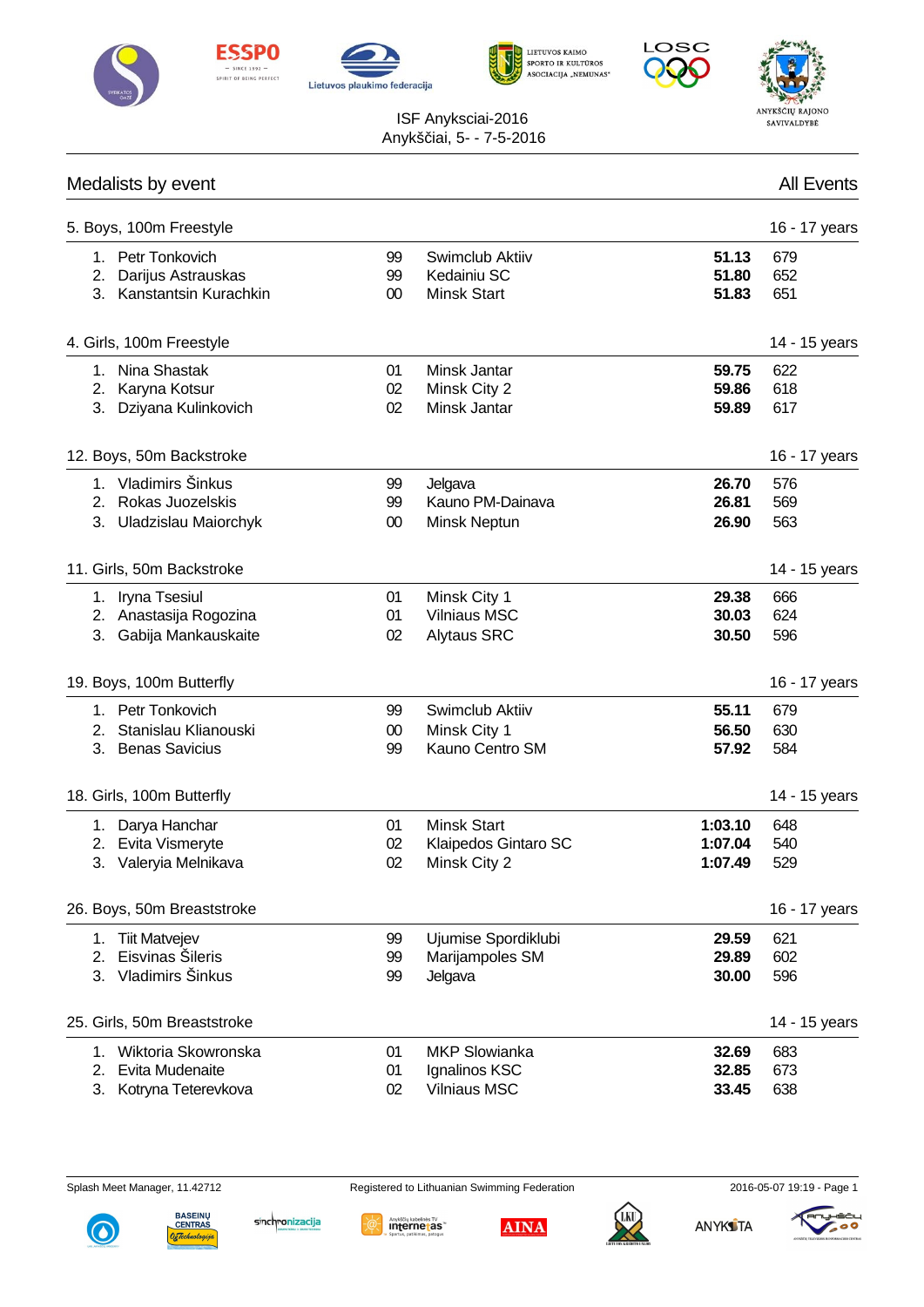











|                | Medalists by event                                                   |                    |                                                              |                               | <b>All Events</b> |
|----------------|----------------------------------------------------------------------|--------------------|--------------------------------------------------------------|-------------------------------|-------------------|
|                | 5. Boys, 100m Freestyle                                              |                    |                                                              |                               | 16 - 17 years     |
| 1.<br>2.       | Petr Tonkovich<br>Darijus Astrauskas<br>3. Kanstantsin Kurachkin     | 99<br>99<br>$00\,$ | Swimclub Aktiiv<br>Kedainiu SC<br><b>Minsk Start</b>         | 51.13<br>51.80<br>51.83       | 679<br>652<br>651 |
|                | 4. Girls, 100m Freestyle                                             |                    |                                                              |                               | 14 - 15 years     |
|                | 1. Nina Shastak<br>2. Karyna Kotsur<br>3. Dziyana Kulinkovich        | 01<br>02<br>02     | Minsk Jantar<br>Minsk City 2<br>Minsk Jantar                 | 59.75<br>59.86<br>59.89       | 622<br>618<br>617 |
|                | 12. Boys, 50m Backstroke                                             |                    |                                                              |                               | 16 - 17 years     |
| 2.             | 1. Vladimirs Šinkus<br>Rokas Juozelskis<br>3. Uladzislau Maiorchyk   | 99<br>99<br>$00\,$ | Jelgava<br>Kauno PM-Dainava<br>Minsk Neptun                  | 26.70<br>26.81<br>26.90       | 576<br>569<br>563 |
|                | 11. Girls, 50m Backstroke                                            |                    |                                                              |                               | 14 - 15 years     |
|                | 1. Iryna Tsesiul<br>2. Anastasija Rogozina<br>3. Gabija Mankauskaite | 01<br>01<br>02     | Minsk City 1<br><b>Vilniaus MSC</b><br><b>Alytaus SRC</b>    | 29.38<br>30.03<br>30.50       | 666<br>624<br>596 |
|                | 19. Boys, 100m Butterfly                                             |                    |                                                              |                               | 16 - 17 years     |
| 2.<br>3.       | 1. Petr Tonkovich<br>Stanislau Klianouski<br><b>Benas Savicius</b>   | 99<br>$00\,$<br>99 | Swimclub Aktiiv<br>Minsk City 1<br>Kauno Centro SM           | 55.11<br>56.50<br>57.92       | 679<br>630<br>584 |
|                | 18. Girls, 100m Butterfly                                            |                    |                                                              |                               | 14 - 15 years     |
| 3.             | 1. Darya Hanchar<br>2. Evita Vismeryte<br>Valeryia Melnikava         | 01<br>02<br>02     | <b>Minsk Start</b><br>Klaipedos Gintaro SC<br>Minsk City 2   | 1:03.10<br>1:07.04<br>1:07.49 | 648<br>540<br>529 |
|                | 26. Boys, 50m Breaststroke                                           |                    |                                                              |                               | 16 - 17 years     |
| 1.<br>2.<br>3. | <b>Tiit Matvejev</b><br>Eisvinas Šileris<br>Vladimirs Šinkus         | 99<br>99<br>99     | Ujumise Spordiklubi<br>Marijampoles SM<br>Jelgava            | 29.59<br>29.89<br>30.00       | 621<br>602<br>596 |
|                | 25. Girls, 50m Breaststroke                                          |                    |                                                              |                               | 14 - 15 years     |
| 1.<br>2.<br>3. | Wiktoria Skowronska<br>Evita Mudenaite<br>Kotryna Teterevkova        | 01<br>01<br>02     | <b>MKP Slowianka</b><br>Ignalinos KSC<br><b>Vilniaus MSC</b> | 32.69<br>32.85<br>33.45       | 683<br>673<br>638 |

Splash Meet Manager, 11.42712 Registered to Lithuanian Swimming Federation 2016-05-07 19:19 - Page 1







**AINA** 



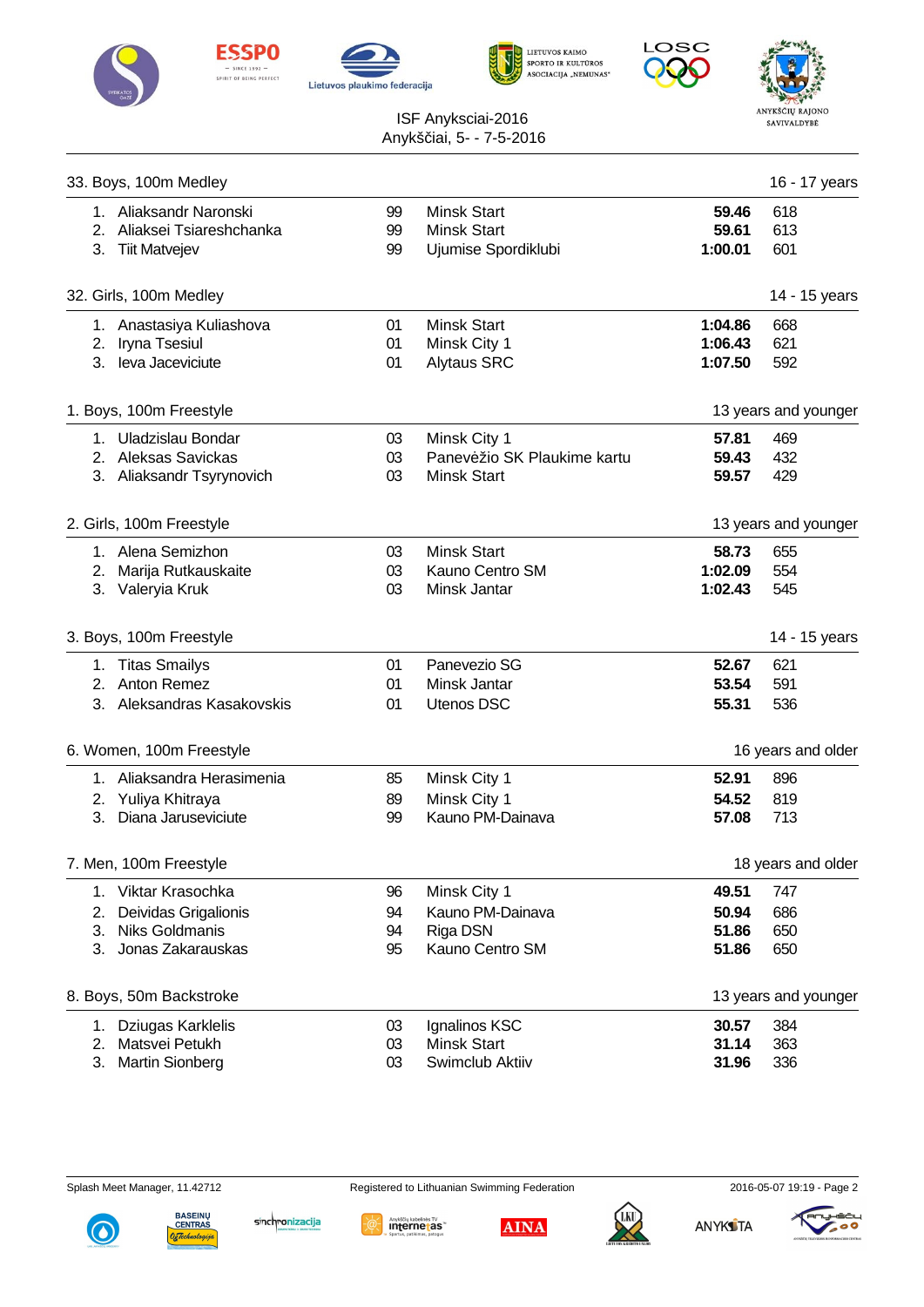











|    | 33. Boys, 100m Medley      |    |                             |         | 16 - 17 years        |
|----|----------------------------|----|-----------------------------|---------|----------------------|
|    | 1. Aliaksandr Naronski     | 99 | <b>Minsk Start</b>          | 59.46   | 618                  |
|    | 2. Aliaksei Tsiareshchanka | 99 | <b>Minsk Start</b>          | 59.61   | 613                  |
|    | 3. Tiit Matvejev           | 99 | Ujumise Spordiklubi         | 1:00.01 | 601                  |
|    | 32. Girls, 100m Medley     |    |                             |         | 14 - 15 years        |
|    | 1. Anastasiya Kuliashova   | 01 | <b>Minsk Start</b>          | 1:04.86 | 668                  |
|    | 2. Iryna Tsesiul           | 01 | Minsk City 1                | 1:06.43 | 621                  |
|    | 3. leva Jaceviciute        | 01 | <b>Alytaus SRC</b>          | 1:07.50 | 592                  |
|    | 1. Boys, 100m Freestyle    |    |                             |         | 13 years and younger |
|    | 1. Uladzislau Bondar       | 03 | Minsk City 1                | 57.81   | 469                  |
|    | 2. Aleksas Savickas        | 03 | Panev žio SK Plaukime kartu | 59.43   | 432                  |
|    | 3. Aliaksandr Tsyrynovich  | 03 | <b>Minsk Start</b>          | 59.57   | 429                  |
|    | 2. Girls, 100m Freestyle   |    |                             |         | 13 years and younger |
|    | 1. Alena Semizhon          | 03 | <b>Minsk Start</b>          | 58.73   | 655                  |
|    | 2. Marija Rutkauskaite     | 03 | Kauno Centro SM             | 1:02.09 | 554                  |
|    | 3. Valeryia Kruk           | 03 | Minsk Jantar                | 1:02.43 | 545                  |
|    | 3. Boys, 100m Freestyle    |    |                             |         | 14 - 15 years        |
|    | 1. Titas Smailys           | 01 | Panevezio SG                | 52.67   | 621                  |
|    | 2. Anton Remez             | 01 | Minsk Jantar                | 53.54   | 591                  |
|    | 3. Aleksandras Kasakovskis | 01 | Utenos DSC                  | 55.31   | 536                  |
|    | 6. Women, 100m Freestyle   |    |                             |         | 16 years and older   |
|    | 1. Aliaksandra Herasimenia | 85 | Minsk City 1                | 52.91   | 896                  |
|    | 2. Yuliya Khitraya         | 89 | Minsk City 1                | 54.52   | 819                  |
|    | 3. Diana Jaruseviciute     | 99 | Kauno PM-Dainava            | 57.08   | 713                  |
|    | 7. Men, 100m Freestyle     |    |                             |         | 18 years and older   |
| 1. | Viktar Krasochka           | 96 | Minsk City 1                | 49.51   | 747                  |
| 2. | Deividas Grigalionis       | 94 | Kauno PM-Dainava            | 50.94   | 686                  |
| 3. | <b>Niks Goldmanis</b>      | 94 | Riga DSN                    | 51.86   | 650                  |
| 3. | Jonas Zakarauskas          | 95 | Kauno Centro SM             | 51.86   | 650                  |
|    | 8. Boys, 50m Backstroke    |    |                             |         | 13 years and younger |
| 1. | Dziugas Karklelis          | 03 | Ignalinos KSC               | 30.57   | 384                  |
| 2. | Matsvei Petukh             | 03 | <b>Minsk Start</b>          | 31.14   | 363                  |
| 3. | <b>Martin Sionberg</b>     | 03 | Swimclub Aktiiv             | 31.96   | 336                  |











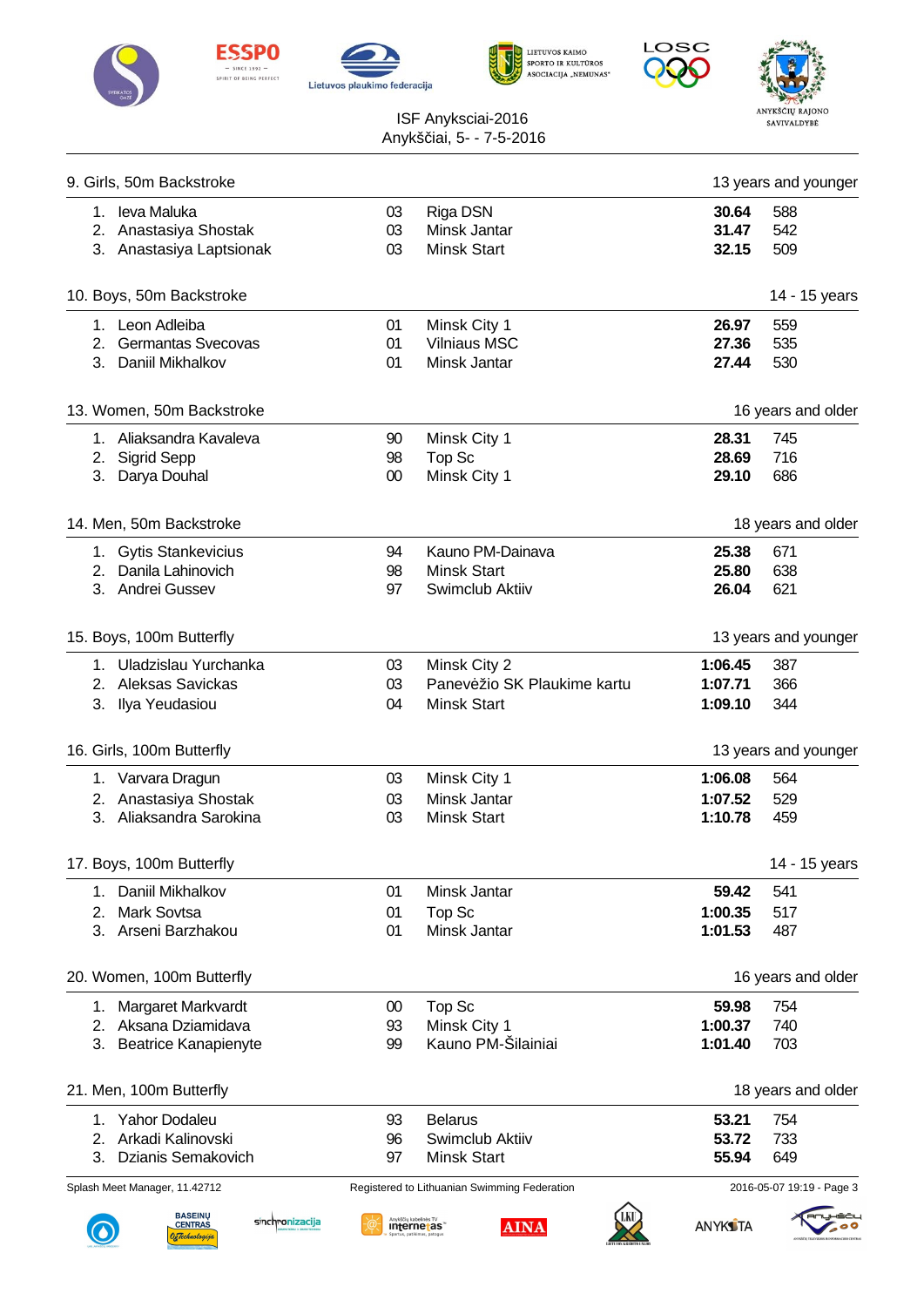











| 9. Girls, 50m Backstroke                                              |        |                                                     |                 | 13 years and younger      |
|-----------------------------------------------------------------------|--------|-----------------------------------------------------|-----------------|---------------------------|
| 1. leva Maluka                                                        | 03     | Riga DSN                                            | 30.64           | 588                       |
| 2. Anastasiya Shostak                                                 | 03     | Minsk Jantar                                        | 31.47           | 542                       |
| 3. Anastasiya Laptsionak                                              | 03     | <b>Minsk Start</b>                                  | 32.15           | 509                       |
| 10. Boys, 50m Backstroke                                              |        |                                                     |                 | 14 - 15 years             |
| 1. Leon Adleiba                                                       | 01     | Minsk City 1                                        | 26.97           | 559                       |
| 2. Germantas Svecovas                                                 | 01     | <b>Vilniaus MSC</b>                                 | 27.36           | 535                       |
| 3. Daniil Mikhalkov                                                   | 01     | Minsk Jantar                                        | 27.44           | 530                       |
| 13. Women, 50m Backstroke                                             |        |                                                     |                 | 16 years and older        |
| 1. Aliaksandra Kavaleva                                               | 90     | Minsk City 1                                        | 28.31           | 745                       |
| 2. Sigrid Sepp                                                        | 98     | Top Sc                                              | 28.69           | 716                       |
| 3. Darya Douhal                                                       | $00\,$ | Minsk City 1                                        | 29.10           | 686                       |
| 14. Men, 50m Backstroke                                               |        |                                                     |                 | 18 years and older        |
| 1. Gytis Stankevicius                                                 | 94     | Kauno PM-Dainava                                    | 25.38           | 671                       |
| 2. Danila Lahinovich                                                  | 98     | <b>Minsk Start</b>                                  | 25.80           | 638                       |
| 3. Andrei Gussev                                                      | 97     | Swimclub Aktiiv                                     | 26.04           | 621                       |
| 15. Boys, 100m Butterfly                                              |        |                                                     |                 | 13 years and younger      |
| 1. Uladzislau Yurchanka                                               | 03     | Minsk City 2                                        | 1:06.45         | 387                       |
| 2. Aleksas Savickas                                                   | 03     | Panev žio SK Plaukime kartu                         | 1:07.71         | 366                       |
| 3. Ilya Yeudasiou                                                     | 04     | <b>Minsk Start</b>                                  | 1:09.10         | 344                       |
| 16. Girls, 100m Butterfly                                             |        |                                                     |                 | 13 years and younger      |
| 1. Varvara Dragun                                                     | 03     | Minsk City 1                                        | 1:06.08         | 564                       |
| 2. Anastasiya Shostak                                                 | 03     | Minsk Jantar                                        | 1:07.52         | 529                       |
| 3. Aliaksandra Sarokina                                               | 03     | <b>Minsk Start</b>                                  | 1:10.78         | 459                       |
| 17. Boys, 100m Butterfly                                              |        |                                                     |                 | 14 - 15 years             |
| Daniil Mikhalkov<br>1.                                                | 01     | Minsk Jantar                                        | 59.42           | 541                       |
| <b>Mark Sovtsa</b><br>2.                                              | 01     | Top Sc                                              | 1:00.35         | 517                       |
| Arseni Barzhakou<br>3.                                                | 01     | Minsk Jantar                                        | 1:01.53         | 487                       |
| 20. Women, 100m Butterfly                                             |        |                                                     |                 | 16 years and older        |
| Margaret Markvardt<br>1.                                              | 00     | Top Sc                                              | 59.98           | 754                       |
| 2. Aksana Dziamidava                                                  | 93     | Minsk City 1                                        | 1:00.37         | 740                       |
| 3. Beatrice Kanapienyte                                               | 99     | Kauno PM-Šilainiai                                  | 1:01.40         | 703                       |
| 21. Men, 100m Butterfly                                               |        |                                                     |                 | 18 years and older        |
| <b>Yahor Dodaleu</b><br>1.                                            | 93     | <b>Belarus</b>                                      | 53.21           | 754                       |
| Arkadi Kalinovski<br>2.                                               | 96     | Swimclub Aktiiv                                     | 53.72           | 733                       |
| Dzianis Semakovich<br>3.                                              | 97     | <b>Minsk Start</b>                                  | 55.94           | 649                       |
| Splash Meet Manager, 11.42712                                         |        | Registered to Lithuanian Swimming Federation        |                 | 2016-05-07 19:19 - Page 3 |
| <b>BASEINU</b><br>sinchronizacija<br><b>CENTRAS</b><br>DzTechnologija |        | Anykščių kabelinės TV<br>Internetas"<br><b>AINA</b> | <b>ANYKS</b> TA |                           |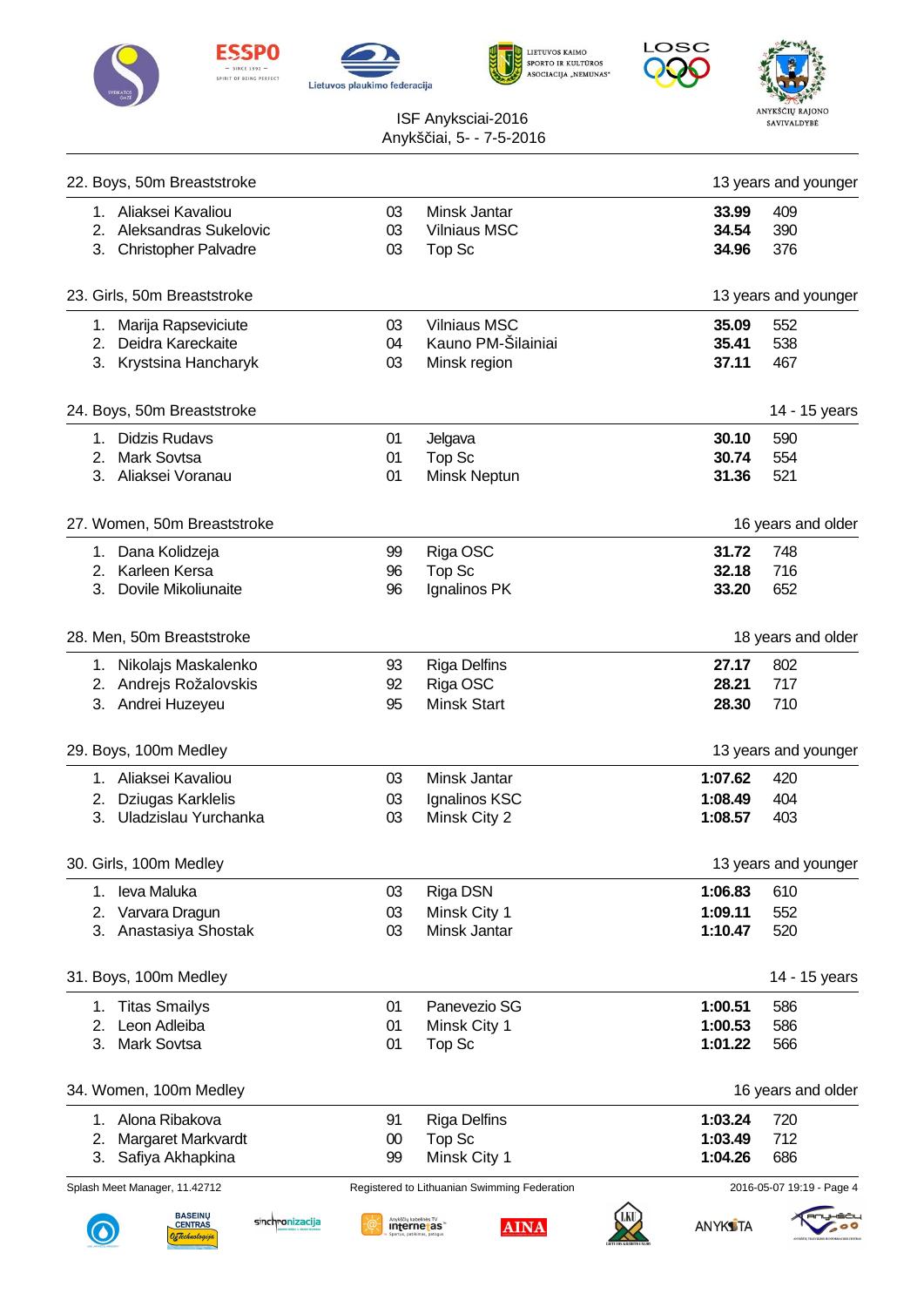











| 22. Boys, 50m Breaststroke                                                            |                |                                                     |                         | 13 years and younger      |
|---------------------------------------------------------------------------------------|----------------|-----------------------------------------------------|-------------------------|---------------------------|
| 1. Aliaksei Kavaliou<br>2. Aleksandras Sukelovic<br><b>Christopher Palvadre</b><br>3. | 03<br>03<br>03 | Minsk Jantar<br><b>Vilniaus MSC</b><br>Top Sc       | 33.99<br>34.54<br>34.96 | 409<br>390<br>376         |
| 23. Girls, 50m Breaststroke                                                           |                |                                                     |                         | 13 years and younger      |
| 1. Marija Rapseviciute<br>2. Deidra Kareckaite                                        | 03<br>04       | <b>Vilniaus MSC</b><br>Kauno PM-Šilainiai           | 35.09<br>35.41          | 552<br>538                |
| 3. Krystsina Hancharyk                                                                | 03             | Minsk region                                        | 37.11                   | 467                       |
| 24. Boys, 50m Breaststroke                                                            |                |                                                     |                         | 14 - 15 years             |
| 1. Didzis Rudavs                                                                      | 01             | Jelgava                                             | 30.10                   | 590                       |
| 2. Mark Sovtsa                                                                        | 01             | Top Sc                                              | 30.74                   | 554                       |
| 3. Aliaksei Voranau                                                                   | 01             | Minsk Neptun                                        | 31.36                   | 521                       |
| 27. Women, 50m Breaststroke                                                           |                |                                                     |                         | 16 years and older        |
| 1. Dana Kolidzeja                                                                     | 99             | Riga OSC                                            | 31.72                   | 748                       |
| 2. Karleen Kersa                                                                      | 96             | Top Sc                                              | 32.18                   | 716                       |
| Dovile Mikoliunaite<br>3.                                                             | 96             | Ignalinos PK                                        | 33.20                   | 652                       |
| 28. Men, 50m Breaststroke                                                             |                |                                                     |                         | 18 years and older        |
| 1. Nikolajs Maskalenko                                                                | 93             | <b>Riga Delfins</b>                                 | 27.17                   | 802                       |
| 2. Andrejs Rožalovskis                                                                | 92             | Riga OSC                                            | 28.21                   | 717                       |
| 3. Andrei Huzeyeu                                                                     | 95             | <b>Minsk Start</b>                                  | 28.30                   | 710                       |
| 29. Boys, 100m Medley                                                                 |                |                                                     |                         | 13 years and younger      |
| 1. Aliaksei Kavaliou                                                                  | 03             | Minsk Jantar                                        | 1:07.62                 | 420                       |
| 2. Dziugas Karklelis                                                                  | 03             | Ignalinos KSC                                       | 1:08.49                 | 404                       |
| 3. Uladzislau Yurchanka                                                               | 03             | Minsk City 2                                        | 1:08.57                 | 403                       |
| 30. Girls, 100m Medley                                                                |                |                                                     |                         | 13 years and younger      |
| leva Maluka<br>1.                                                                     | 03             | Riga DSN                                            | 1:06.83                 | 610                       |
| Varvara Dragun<br>2.                                                                  | 03             | Minsk City 1                                        | 1:09.11                 | 552                       |
| Anastasiya Shostak<br>3.                                                              | 03             | Minsk Jantar                                        | 1:10.47                 | 520                       |
| 31. Boys, 100m Medley                                                                 |                |                                                     |                         | 14 - 15 years             |
| 1. Titas Smailys                                                                      | 01             | Panevezio SG                                        | 1:00.51                 | 586                       |
| Leon Adleiba<br>2.                                                                    | 01             | Minsk City 1                                        | 1:00.53                 | 586                       |
| <b>Mark Sovtsa</b><br>3.                                                              | 01             | Top Sc                                              | 1:01.22                 | 566                       |
| 34. Women, 100m Medley                                                                |                |                                                     |                         | 16 years and older        |
| Alona Ribakova<br>1.                                                                  | 91             | <b>Riga Delfins</b>                                 | 1:03.24                 | 720                       |
| Margaret Markvardt<br>2.                                                              | $00\,$         | Top Sc                                              | 1:03.49                 | 712                       |
| Safiya Akhapkina<br>3.                                                                | 99             | Minsk City 1                                        | 1:04.26                 | 686                       |
| Splash Meet Manager, 11.42712                                                         |                | Registered to Lithuanian Swimming Federation        |                         | 2016-05-07 19:19 - Page 4 |
| <b>BASEINU</b><br>sinchronizacija<br><b>CENTRAS</b><br>rachuologija)                  |                | Anykščių kabelinės TV<br>Internetas"<br><b>AINA</b> | <b>ANYKS</b> TA         |                           |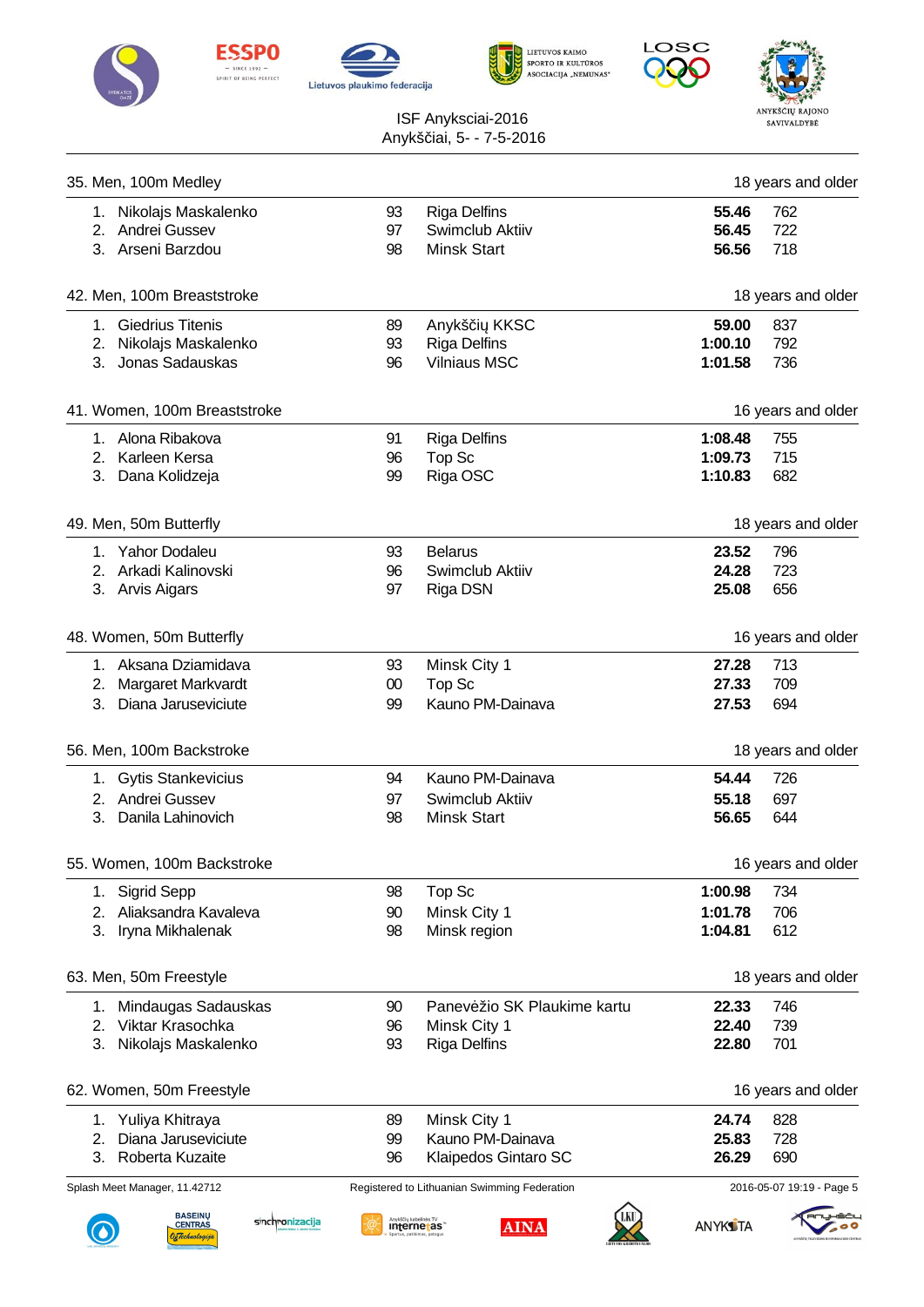











| 35. Men, 100m Medley                                             |                                                                           |                                                     |                 | 18 years and older |
|------------------------------------------------------------------|---------------------------------------------------------------------------|-----------------------------------------------------|-----------------|--------------------|
| 1. Nikolajs Maskalenko                                           | 93                                                                        | <b>Riga Delfins</b>                                 | 55.46           | 762                |
| 2. Andrei Gussev                                                 | 97                                                                        | Swimclub Aktiiv                                     | 56.45           | 722                |
| 3. Arseni Barzdou                                                | 98                                                                        | <b>Minsk Start</b>                                  | 56.56           | 718                |
|                                                                  |                                                                           |                                                     |                 |                    |
| 42. Men, 100m Breaststroke                                       |                                                                           |                                                     |                 | 18 years and older |
| 1. Giedrius Titenis                                              | 89                                                                        | Anykš i KKSC                                        | 59.00           | 837                |
| 2. Nikolajs Maskalenko                                           | 93                                                                        | <b>Riga Delfins</b>                                 | 1:00.10         | 792                |
| 3. Jonas Sadauskas                                               | 96                                                                        | <b>Vilniaus MSC</b>                                 | 1:01.58         | 736                |
| 41. Women, 100m Breaststroke                                     |                                                                           |                                                     |                 | 16 years and older |
| 1. Alona Ribakova                                                | 91                                                                        | <b>Riga Delfins</b>                                 | 1:08.48         | 755                |
| 2. Karleen Kersa                                                 | 96                                                                        | Top Sc                                              | 1:09.73         | 715                |
| 3. Dana Kolidzeja                                                | 99                                                                        | Riga OSC                                            | 1:10.83         | 682                |
|                                                                  |                                                                           |                                                     |                 |                    |
| 49. Men, 50m Butterfly                                           |                                                                           |                                                     |                 | 18 years and older |
| 1. Yahor Dodaleu                                                 | 93                                                                        | <b>Belarus</b>                                      | 23.52           | 796                |
| 2. Arkadi Kalinovski                                             | 96                                                                        | Swimclub Aktiiv                                     | 24.28           | 723                |
| 3. Arvis Aigars                                                  | 97                                                                        | Riga DSN                                            | 25.08           | 656                |
| 48. Women, 50m Butterfly                                         |                                                                           |                                                     |                 | 16 years and older |
| 1. Aksana Dziamidava                                             | 93                                                                        | Minsk City 1                                        | 27.28           | 713                |
| 2. Margaret Markvardt                                            | $00\,$                                                                    | Top Sc                                              | 27.33           | 709                |
| 3. Diana Jaruseviciute                                           | 99                                                                        | Kauno PM-Dainava                                    | 27.53           | 694                |
| 56. Men, 100m Backstroke                                         |                                                                           |                                                     |                 | 18 years and older |
| 1. Gytis Stankevicius                                            | 94                                                                        | Kauno PM-Dainava                                    | 54.44           | 726                |
| 2. Andrei Gussev                                                 | 97                                                                        | Swimclub Aktiiv                                     | 55.18           | 697                |
| 3.<br>Danila Lahinovich                                          | 98                                                                        | <b>Minsk Start</b>                                  | 56.65           | 644                |
| 55. Women, 100m Backstroke                                       |                                                                           |                                                     |                 | 16 years and older |
| <b>Sigrid Sepp</b><br>1.                                         | 98                                                                        | Top Sc                                              | 1:00.98         | 734                |
| Aliaksandra Kavaleva<br>2.                                       | 90                                                                        | Minsk City 1                                        | 1:01.78         | 706                |
| 3.<br>Iryna Mikhalenak                                           | 98                                                                        | Minsk region                                        | 1:04.81         | 612                |
| 63. Men, 50m Freestyle                                           |                                                                           |                                                     |                 | 18 years and older |
| Mindaugas Sadauskas<br>1.                                        | 90                                                                        | Panev žio SK Plaukime kartu                         | 22.33           | 746                |
| Viktar Krasochka<br>2.                                           | 96                                                                        | Minsk City 1                                        | 22.40           | 739                |
| 3.<br>Nikolajs Maskalenko                                        | 93                                                                        | <b>Riga Delfins</b>                                 | 22.80           | 701                |
| 62. Women, 50m Freestyle                                         |                                                                           |                                                     |                 | 16 years and older |
| 1. Yuliya Khitraya                                               | 89                                                                        | Minsk City 1                                        | 24.74           | 828                |
| Diana Jaruseviciute<br>2.                                        | 99                                                                        | Kauno PM-Dainava                                    | 25.83           | 728                |
| 3.<br>Roberta Kuzaite                                            | 96                                                                        | Klaipedos Gintaro SC                                | 26.29           | 690                |
| Splash Meet Manager, 11.42712                                    | 2016-05-07 19:19 - Page 5<br>Registered to Lithuanian Swimming Federation |                                                     |                 |                    |
| <b>BASEINŲ</b>                                                   |                                                                           |                                                     |                 |                    |
| sinchronizacija<br><b>CENTRAS</b><br>) <sub>k</sub> Technologija |                                                                           | Anykščių kabelinės TV<br>Internetas"<br><b>AINA</b> | <b>ANYKS</b> TA |                    |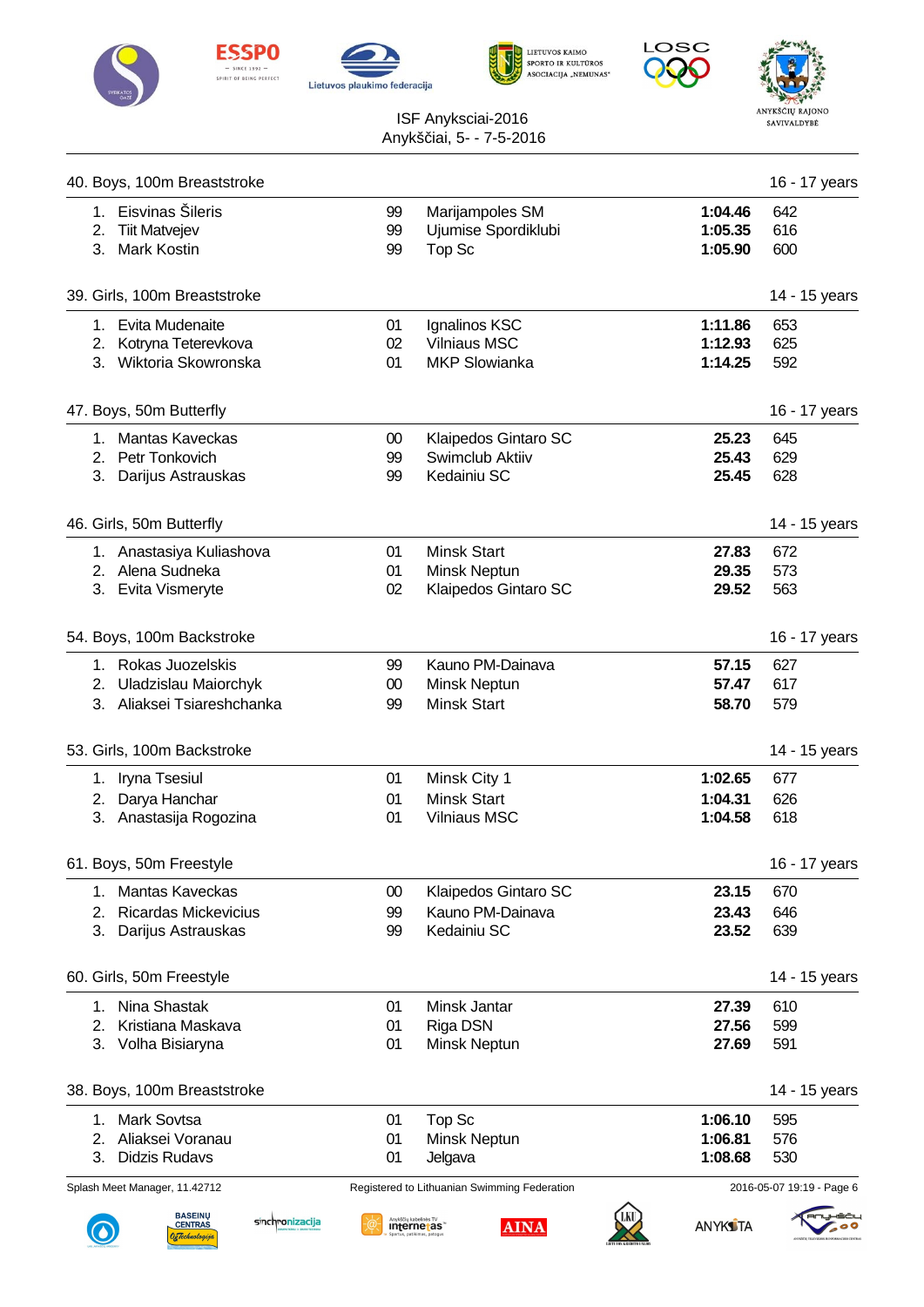











| 40. Boys, 100m Breaststroke                                                                   |                       |                                                              |                               | 16 - 17 years             |
|-----------------------------------------------------------------------------------------------|-----------------------|--------------------------------------------------------------|-------------------------------|---------------------------|
| 1. Eisvinas Šileris<br>2. Tiit Matvejev<br><b>Mark Kostin</b><br>3.                           | 99<br>99<br>99        | Marijampoles SM<br>Ujumise Spordiklubi<br>Top Sc             | 1:04.46<br>1:05.35<br>1:05.90 | 642<br>616<br>600         |
| 39. Girls, 100m Breaststroke                                                                  |                       |                                                              |                               | 14 - 15 years             |
| 1. Evita Mudenaite<br>2. Kotryna Teterevkova<br>3. Wiktoria Skowronska                        | 01<br>02<br>01        | Ignalinos KSC<br><b>Vilniaus MSC</b><br><b>MKP Slowianka</b> | 1:11.86<br>1:12.93<br>1:14.25 | 653<br>625<br>592         |
| 47. Boys, 50m Butterfly                                                                       |                       |                                                              |                               | 16 - 17 years             |
| 1. Mantas Kaveckas<br>Petr Tonkovich<br>2.<br>3.<br>Darijus Astrauskas                        | 00<br>99<br>99        | Klaipedos Gintaro SC<br>Swimclub Aktiiv<br>Kedainiu SC       | 25.23<br>25.43<br>25.45       | 645<br>629<br>628         |
| 46. Girls, 50m Butterfly                                                                      |                       |                                                              |                               | 14 - 15 years             |
| 1. Anastasiya Kuliashova<br>2. Alena Sudneka<br>3. Evita Vismeryte                            | 01<br>01<br>02        | <b>Minsk Start</b><br>Minsk Neptun<br>Klaipedos Gintaro SC   | 27.83<br>29.35<br>29.52       | 672<br>573<br>563         |
| 54. Boys, 100m Backstroke                                                                     |                       |                                                              |                               | 16 - 17 years             |
| 1. Rokas Juozelskis<br>2. Uladzislau Maiorchyk<br>3. Aliaksei Tsiareshchanka                  | 99<br>00<br>99        | Kauno PM-Dainava<br>Minsk Neptun<br><b>Minsk Start</b>       | 57.15<br>57.47<br>58.70       | 627<br>617<br>579         |
| 53. Girls, 100m Backstroke                                                                    |                       |                                                              |                               | 14 - 15 years             |
| 1. Iryna Tsesiul<br>2. Darya Hanchar<br>3. Anastasija Rogozina                                | 01<br>01<br>01        | Minsk City 1<br><b>Minsk Start</b><br><b>Vilniaus MSC</b>    | 1:02.65<br>1:04.31<br>1:04.58 | 677<br>626<br>618         |
| 61. Boys, 50m Freestyle                                                                       |                       |                                                              |                               | 16 - 17 years             |
| <b>Mantas Kaveckas</b><br>1.<br>2.<br><b>Ricardas Mickevicius</b><br>3.<br>Darijus Astrauskas | 00<br>99<br>99        | Klaipedos Gintaro SC<br>Kauno PM-Dainava<br>Kedainiu SC      | 23.15<br>23.43<br>23.52       | 670<br>646<br>639         |
| 60. Girls, 50m Freestyle                                                                      |                       |                                                              |                               | 14 - 15 years             |
| Nina Shastak<br>1.<br>Kristiana Maskava<br>2.<br>3.<br>Volha Bisiaryna                        | 01<br>01<br>01        | Minsk Jantar<br>Riga DSN<br>Minsk Neptun                     | 27.39<br>27.56<br>27.69       | 610<br>599<br>591         |
| 38. Boys, 100m Breaststroke                                                                   |                       |                                                              |                               | 14 - 15 years             |
| <b>Mark Sovtsa</b><br>1.<br>Aliaksei Voranau<br>2.<br>3.<br><b>Didzis Rudavs</b>              | 01<br>01<br>01        | Top Sc<br>Minsk Neptun<br>Jelgava                            | 1:06.10<br>1:06.81<br>1:08.68 | 595<br>576<br>530         |
| Splash Meet Manager, 11.42712                                                                 |                       | Registered to Lithuanian Swimming Federation                 |                               | 2016-05-07 19:19 - Page 6 |
| <b>BASEINŲ</b><br>sinchronizacija<br><b>CENTRAS</b><br>) <sub>E</sub> Technologija            | Anykščių kabelinės TV | internetas<br><b>AINA</b>                                    | <b>ANYKS</b> TA               |                           |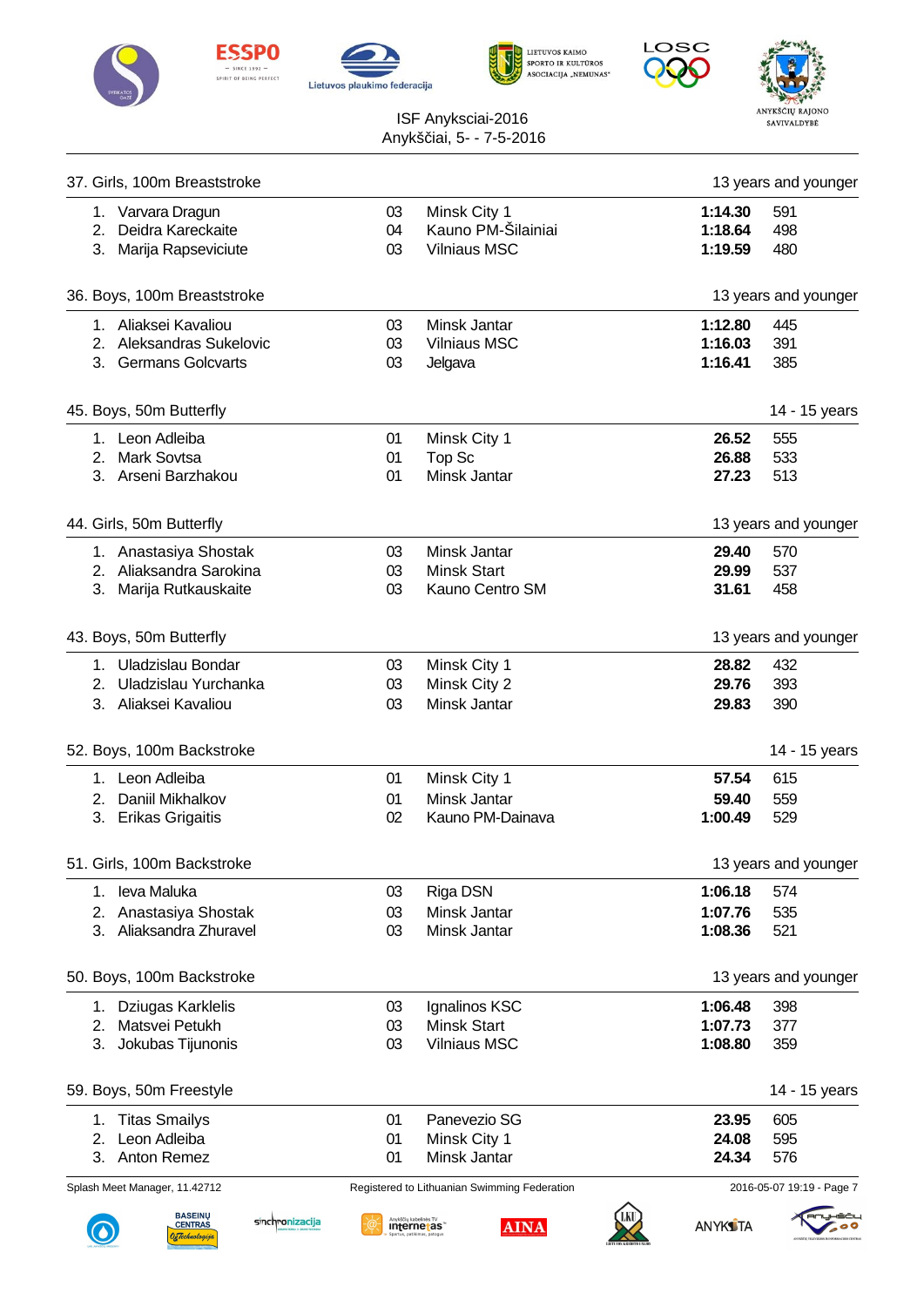











| 37. Girls, 100m Breaststroke                                                |                |                                                            |                               | 13 years and younger      |
|-----------------------------------------------------------------------------|----------------|------------------------------------------------------------|-------------------------------|---------------------------|
| 1. Varvara Dragun<br>2. Deidra Kareckaite<br>3. Marija Rapseviciute         | 03<br>04<br>03 | Minsk City 1<br>Kauno PM-Šilainiai<br><b>Vilniaus MSC</b>  | 1:14.30<br>1:18.64<br>1:19.59 | 591<br>498<br>480         |
| 36. Boys, 100m Breaststroke                                                 |                |                                                            |                               | 13 years and younger      |
| 1. Aliaksei Kavaliou<br>2. Aleksandras Sukelovic<br>3. Germans Golcvarts    | 03<br>03<br>03 | Minsk Jantar<br><b>Vilniaus MSC</b><br>Jelgava             | 1:12.80<br>1:16.03<br>1:16.41 | 445<br>391<br>385         |
| 45. Boys, 50m Butterfly                                                     |                |                                                            |                               | 14 - 15 years             |
| 1. Leon Adleiba<br>2. Mark Sovtsa<br>3. Arseni Barzhakou                    | 01<br>01<br>01 | Minsk City 1<br>Top Sc<br>Minsk Jantar                     | 26.52<br>26.88<br>27.23       | 555<br>533<br>513         |
| 44. Girls, 50m Butterfly                                                    |                |                                                            |                               | 13 years and younger      |
| 1. Anastasiya Shostak<br>2. Aliaksandra Sarokina<br>3. Marija Rutkauskaite  | 03<br>03<br>03 | Minsk Jantar<br><b>Minsk Start</b><br>Kauno Centro SM      | 29.40<br>29.99<br>31.61       | 570<br>537<br>458         |
| 43. Boys, 50m Butterfly                                                     |                |                                                            |                               | 13 years and younger      |
| 1. Uladzislau Bondar<br>2. Uladzislau Yurchanka<br>3. Aliaksei Kavaliou     | 03<br>03<br>03 | Minsk City 1<br>Minsk City 2<br>Minsk Jantar               | 28.82<br>29.76<br>29.83       | 432<br>393<br>390         |
| 52. Boys, 100m Backstroke                                                   |                |                                                            |                               | 14 - 15 years             |
| 1. Leon Adleiba<br>2. Daniil Mikhalkov<br>3. Erikas Grigaitis               | 01<br>01<br>02 | Minsk City 1<br>Minsk Jantar<br>Kauno PM-Dainava           | 57.54<br>59.40<br>1:00.49     | 615<br>559<br>529         |
| 51. Girls, 100m Backstroke                                                  |                |                                                            |                               | 13 years and younger      |
| leva Maluka<br>1.<br>2.<br>Anastasiya Shostak<br>Aliaksandra Zhuravel<br>3. | 03<br>03<br>03 | Riga DSN<br>Minsk Jantar<br>Minsk Jantar                   | 1:06.18<br>1:07.76<br>1:08.36 | 574<br>535<br>521         |
| 50. Boys, 100m Backstroke                                                   |                |                                                            |                               | 13 years and younger      |
| 1. Dziugas Karklelis<br>2.<br>Matsvei Petukh<br>3.<br>Jokubas Tijunonis     | 03<br>03<br>03 | Ignalinos KSC<br><b>Minsk Start</b><br><b>Vilniaus MSC</b> | 1:06.48<br>1:07.73<br>1:08.80 | 398<br>377<br>359         |
| 59. Boys, 50m Freestyle                                                     |                |                                                            |                               | 14 - 15 years             |
| 1. Titas Smailys<br>Leon Adleiba<br>2.<br>3.<br>Anton Remez                 | 01<br>01<br>01 | Panevezio SG<br>Minsk City 1<br>Minsk Jantar               | 23.95<br>24.08<br>24.34       | 605<br>595<br>576         |
| Splash Meet Manager, 11.42712                                               |                | Registered to Lithuanian Swimming Federation               |                               | 2016-05-07 19:19 - Page 7 |
| <b>BASEINU</b><br>sinchronizacija<br><b>CENTRAS</b><br>DeTechnologija       |                | Anykščių kabelinės TV<br><b>AINA</b><br>internetas         | <b>ANYKS</b> TA               |                           |